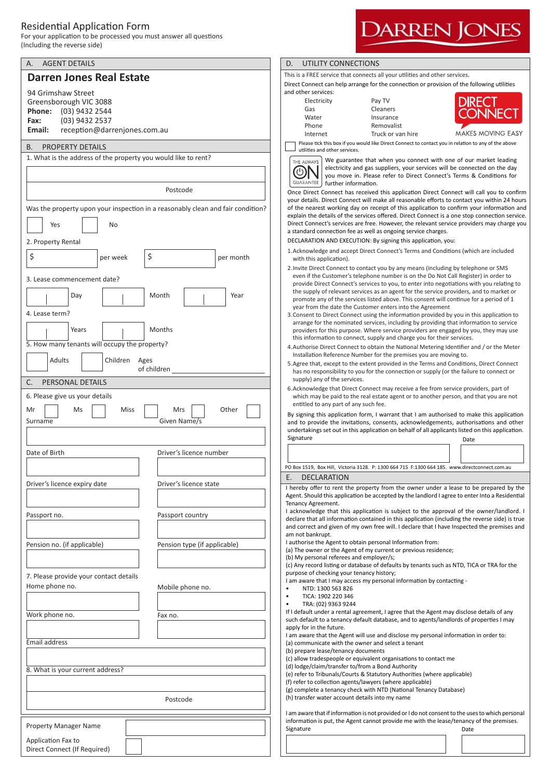## Residential Application Form

For your application to be processed you must answer all questions (Including the reverse side)



## **DARREN JONES**

This is a FREE service that connects all your utilities and other services.

Direct Connect can help arrange for the connecton or provision of the following utlites and other services:

| Electricity | Pay TV            |
|-------------|-------------------|
| Gas         | Cleaners          |
| Water       | Insurance         |
| Phone       | Removalist        |
| Internet    | Truck or van hire |



**MAKES MOVING EASY** 

Please tick this box if you would like Direct Connect to contact you in relation to any of the above utlites and other services.



We guarantee that when you connect with one of our market leading electricity and gas suppliers, your services will be connected on the day you move in. Please refer to Direct Connect's Terms & Conditons for further information.

Once Direct Connect has received this applicaton Direct Connect will call you to confrm your details. Direct Connect will make all reasonable eforts to contact you within 24 hours of the nearest working day on receipt of this application to confirm your information and explain the details of the services offered. Direct Connect is a one stop connection service. Direct Connect's services are free. However, the relevant service providers may charge you a standard connection fee as well as ongoing service charges.

DECLARATION AND EXECUTION: By signing this applicaton, you:

- 1.Acknowledge and accept Direct Connect's Terms and Conditons (which are included with this application).
- 2.Invite Direct Connect to contact you by any means (including by telephone or SMS even if the Customer's telephone number is on the Do Not Call Register) in order to provide Direct Connect's services to you, to enter into negotatons with you relatng to the supply of relevant services as an agent for the service providers, and to market or promote any of the services listed above. This consent will contnue for a period of 1 year from the date the Customer enters into the Agreement
- 3.Consent to Direct Connect using the informaton provided by you in this applicaton to arrange for the nominated services, including by providing that informaton to service providers for this purpose. Where service providers are engaged by you, they may use this information to connect, supply and charge you for their services.
- 4. Authorise Direct Connect to obtain the National Metering Identifier and / or the Meter Installation Reference Number for the premises you are moving to.
- 5.Agree that, except to the extent provided in the Terms and Conditons, Direct Connect has no responsibility to you for the connection or supply (or the failure to connect or supply) any of the services.
- 6.Acknowledge that Direct Connect may receive a fee from service providers, part of which may be paid to the real estate agent or to another person, and that you are not entitled to any part of any such fee.

Signature Date Date of the Date of the Date of the Date of the Date of the Date of the Date of the Date of the By signing this application form, I warrant that I am authorised to make this application and to provide the invitations, consents, acknowledgements, authorisations and other undertakings set out in this application on behalf of all applicants listed on this application.

| PO Box 1519. Box Hill. Victoria 3128. P: 1300 664 715 F:1300 664 185. www.directconnect.com.au |  |  |
|------------------------------------------------------------------------------------------------|--|--|
| DECLARATION<br>E.                                                                              |  |  |
| I hereby offer to rent the property from the owner under a lease to be prepared by the         |  |  |

I hereby ofer to rent the property from the owner under a lease to be prepared by the Agent. Should this applicaton be accepted by the landlord I agree to enter Into a Residental Tenancy Agreement.

I acknowledge that this application is subject to the approval of the owner/landlord. I declare that all information contained in this application (including the reverse side) is true and correct and given of my own free will. I declare that I have Inspected the premises and am not bankrupt.

I authorise the Agent to obtain personal Information from:

(a) The owner or the Agent of my current or previous residence;

(b) My personal referees and employer/s;

(c) Any record listng or database of defaults by tenants such as NTD, TICA or TRA for the purpose of checking your tenancy history;

I am aware that I may access my personal information by contacting -

- NTD: 1300 563 826
- TICA: 1902 220 346

• TRA: (02) 9363 9244

If I default under a rental agreement, I agree that the Agent may disclose details of any such default to a tenancy default database, and to agents/landlords of properties I may apply for in the future.

I am aware that the Agent will use and disclose my personal information in order to: (a) communicate with the owner and select a tenant

(b) prepare lease/tenancy documents

(c) allow tradespeople or equivalent organisations to contact me

(d) lodge/claim/transfer to/from a Bond Authority

(e) refer to Tribunals/Courts & Statutory Authorites (where applicable)

(f) refer to collection agents/lawyers (where applicable)

(g) complete a tenancy check with NTD (Natonal Tenancy Database) (h) transfer water account details into my name

I am aware that if information is not provided or I do not consent to the uses to which personal information is put, the Agent cannot provide me with the lease/tenancy of the premises. Signature Date Date of the Date of the Date of the Date of the Date of the Date of the Date of the Date of the